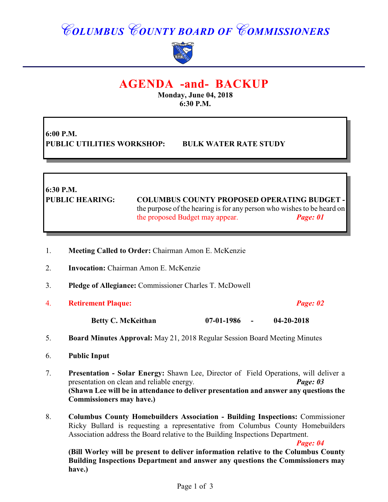# *COLUMBUS COUNTY BOARD OF COMMISSIONERS*



# **AGENDA -and- BACKUP**

**Monday, June 04, 2018 6:30 P.M.**

**6:00 P.M. PUBLIC UTILITIES WORKSHOP: BULK WATER RATE STUDY**

**6:30 P.M.**

**PUBLIC HEARING: COLUMBUS COUNTY PROPOSED OPERATING BUDGET**  the purpose of the hearing is for any person who wishes to be heard on the proposed Budget may appear. *Page: 01*

- 1. **Meeting Called to Order:** Chairman Amon E. McKenzie
- 2. **Invocation:** Chairman Amon E. McKenzie
- 3. **Pledge of Allegiance:** Commissioner Charles T. McDowell
- 4. **Retirement Plaque:** *Page: 02*

**Betty C. McKeithan 07-01-1986 - 04-20-2018**

- 5. **Board Minutes Approval:** May 21, 2018 Regular Session Board Meeting Minutes
- 6. **Public Input**
- 7. **Presentation Solar Energy:** Shawn Lee, Director of Field Operations, will deliver a presentation on clean and reliable energy. *Page: 03* **(Shawn Lee will be in attendance to deliver presentation and answer any questions the Commissioners may have.)**
- 8. **Columbus County Homebuilders Association Building Inspections:** Commissioner Ricky Bullard is requesting a representative from Columbus County Homebuilders Association address the Board relative to the Building Inspections Department.

*Page: 04*

**(Bill Worley will be present to deliver information relative to the Columbus County Building Inspections Department and answer any questions the Commissioners may have.)**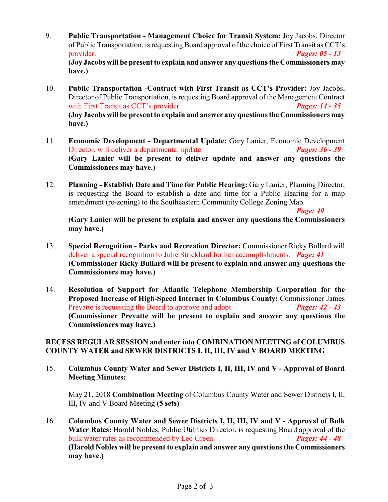- 9. **Public Transportation Management Choice for Transit System:** Joy Jacobs, Director of Public Transportation, is requesting Board approval of the choice of First Transit as CCT's provider. *Pages: 05 - 13* **(Joy Jacobs will be present to explain and answer any questions the Commissioners may have.)**
- 10. **Public Transportation -Contract with First Transit as CCT's Provider:** Joy Jacobs, Director of Public Transportation, is requesting Board approval of the Management Contract with First Transit as CCT's provider. *Pages: 14 - 35* **(Joy Jacobs will be present to explain and answer any questions the Commissioners may have.)**
- 11. **Economic Development Departmental Update:** Gary Lanier, Economic Development Director, will deliver a departmental update. *Pages: 36 - 39* **(Gary Lanier will be present to deliver update and answer any questions the Commissioners may have.)**
- 12. **Planning Establish Date and Time for Public Hearing:** Gary Lanier, Planning Director, is requesting the Board to establish a date and time for a Public Hearing for a map amendment (re-zoning) to the Southeastern Community College Zoning Map.

*Page: 40*

**(Gary Lanier will be present to explain and answer any questions the Commissioners may have.)**

- 13. **Special Recognition Parks and Recreation Director:** Commissioner Ricky Bullard will deliver a special recognition to Julie Strickland for her accomplishments. *Page: 41* **(Commissioner Ricky Bullard will be present to explain and answer any questions the Commissioners may have.)**
- 14. **Resolution of Support for Atlantic Telephone Membership Corporation for the Proposed Increase of High-Speed Internet in Columbus County:** Commissioner James Prevatte is requesting the Board to approve and adopt. *Pages: 42 - 43* **(Commissioner Prevatte will be present to explain and answer any questions the Commissioners may have.)**

#### **RECESS REGULAR SESSION and enter into COMBINATION MEETING of COLUMBUS COUNTY WATER and SEWER DISTRICTS I, II, III, IV and V BOARD MEETING**

15. **Columbus County Water and Sewer Districts I, II, III, IV and V - Approval of Board Meeting Minutes:**

May 21, 2018 **Combination Meeting** of Columbus County Water and Sewer Districts I, II, III, IV and V Board Meeting **(5 sets)**

16. **Columbus County Water and Sewer Districts I, II, III, IV and V - Approval of Bulk Water Rates:** Harold Nobles, Public Utilities Director, is requesting Board approval of the bulk water rates as recommended by Leo Green. *Pages: 44 - 48* **(Harold Nobles will be present to explain and answer any questions the Commissioners may have.)**